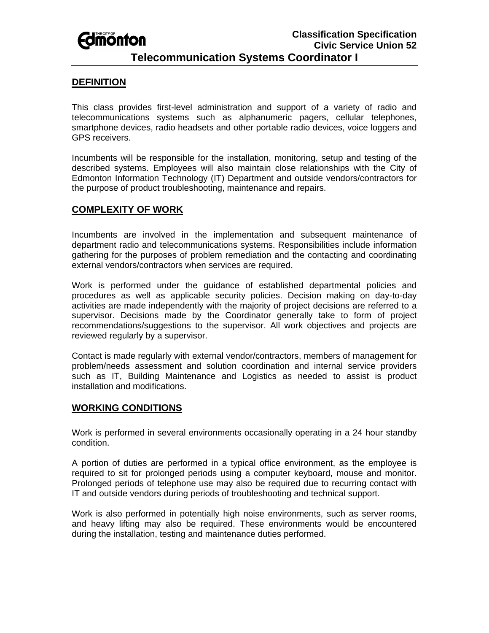# **Fomonton**

## **Telecommunication Systems Coordinator I**

## **DEFINITION**

This class provides first-level administration and support of a variety of radio and telecommunications systems such as alphanumeric pagers, cellular telephones, smartphone devices, radio headsets and other portable radio devices, voice loggers and GPS receivers.

Incumbents will be responsible for the installation, monitoring, setup and testing of the described systems. Employees will also maintain close relationships with the City of Edmonton Information Technology (IT) Department and outside vendors/contractors for the purpose of product troubleshooting, maintenance and repairs.

### **COMPLEXITY OF WORK**

Incumbents are involved in the implementation and subsequent maintenance of department radio and telecommunications systems. Responsibilities include information gathering for the purposes of problem remediation and the contacting and coordinating external vendors/contractors when services are required.

Work is performed under the guidance of established departmental policies and procedures as well as applicable security policies. Decision making on day-to-day activities are made independently with the majority of project decisions are referred to a supervisor. Decisions made by the Coordinator generally take to form of project recommendations/suggestions to the supervisor. All work objectives and projects are reviewed regularly by a supervisor.

Contact is made regularly with external vendor/contractors, members of management for problem/needs assessment and solution coordination and internal service providers such as IT, Building Maintenance and Logistics as needed to assist is product installation and modifications.

### **WORKING CONDITIONS**

Work is performed in several environments occasionally operating in a 24 hour standby condition.

A portion of duties are performed in a typical office environment, as the employee is required to sit for prolonged periods using a computer keyboard, mouse and monitor. Prolonged periods of telephone use may also be required due to recurring contact with IT and outside vendors during periods of troubleshooting and technical support.

Work is also performed in potentially high noise environments, such as server rooms, and heavy lifting may also be required. These environments would be encountered during the installation, testing and maintenance duties performed.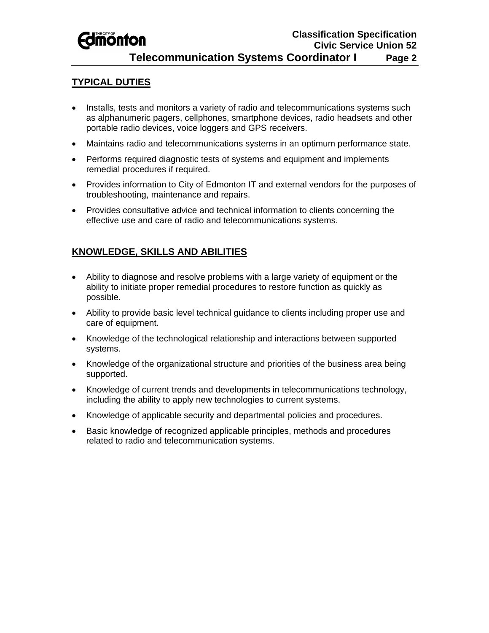# *<u>Edmonton</u>*

## **TYPICAL DUTIES**

- Installs, tests and monitors a variety of radio and telecommunications systems such as alphanumeric pagers, cellphones, smartphone devices, radio headsets and other portable radio devices, voice loggers and GPS receivers.
- Maintains radio and telecommunications systems in an optimum performance state.
- Performs required diagnostic tests of systems and equipment and implements remedial procedures if required.
- Provides information to City of Edmonton IT and external vendors for the purposes of troubleshooting, maintenance and repairs.
- Provides consultative advice and technical information to clients concerning the effective use and care of radio and telecommunications systems.

## **KNOWLEDGE, SKILLS AND ABILITIES**

- Ability to diagnose and resolve problems with a large variety of equipment or the ability to initiate proper remedial procedures to restore function as quickly as possible.
- Ability to provide basic level technical guidance to clients including proper use and care of equipment.
- Knowledge of the technological relationship and interactions between supported systems.
- Knowledge of the organizational structure and priorities of the business area being supported.
- Knowledge of current trends and developments in telecommunications technology, including the ability to apply new technologies to current systems.
- Knowledge of applicable security and departmental policies and procedures.
- Basic knowledge of recognized applicable principles, methods and procedures related to radio and telecommunication systems.